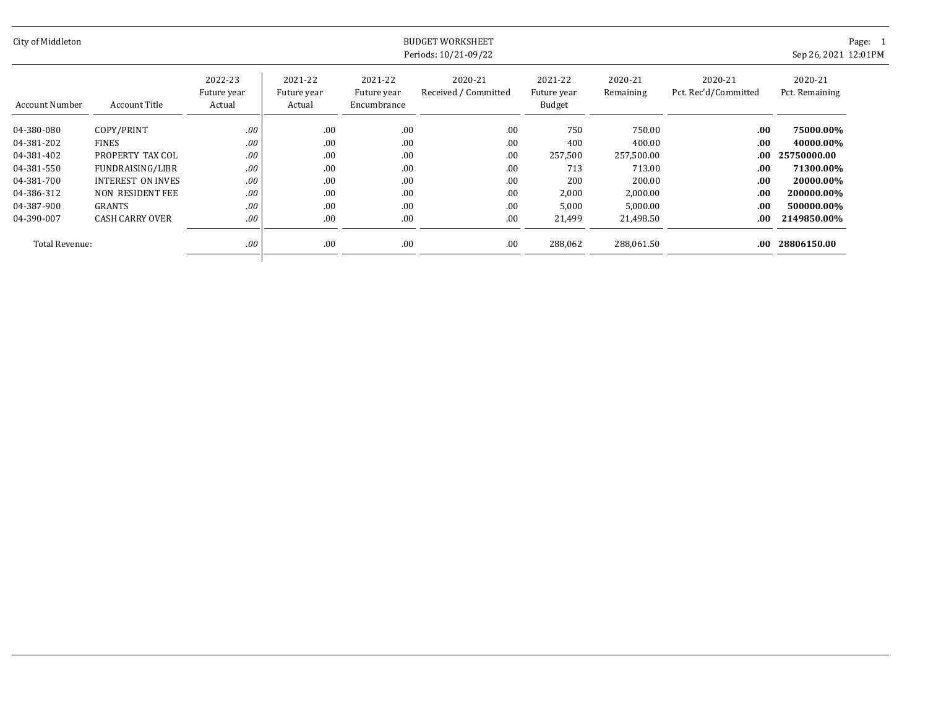| City of Middleton | <b>BUDGET WORKSHEET</b><br>Periods: 10/21-09/22 |                                  |                                  |                                       |                                 |                                  |                      |                                 | Sep 26, 2021 12:01PM      | Page: 1 |
|-------------------|-------------------------------------------------|----------------------------------|----------------------------------|---------------------------------------|---------------------------------|----------------------------------|----------------------|---------------------------------|---------------------------|---------|
| Account Number    | Account Title                                   | 2022-23<br>Future year<br>Actual | 2021-22<br>Future year<br>Actual | 2021-22<br>Future year<br>Encumbrance | 2020-21<br>Received / Committed | 2021-22<br>Future year<br>Budget | 2020-21<br>Remaining | 2020-21<br>Pct. Rec'd/Committed | 2020-21<br>Pct. Remaining |         |
| 04-380-080        | COPY/PRINT                                      | .00                              | .00                              | .00                                   | .00                             | 750                              | 750.00               | .00                             | 75000.00%                 |         |
| 04-381-202        | <b>FINES</b>                                    | .00                              | .00                              | .00                                   | .00                             | 400                              | 400.00               | .00                             | 40000.00%                 |         |
| 04-381-402        | PROPERTY TAX COL                                | .00                              | .00                              | .00                                   | .00                             | 257,500                          | 257,500.00           | .00.                            | 25750000.00               |         |
| 04-381-550        | FUNDRAISING/LIBR                                | .00                              | .00                              | .00                                   | .00                             | 713                              | 713.00               | .00.                            | 71300.00%                 |         |
| 04-381-700        | <b>INTEREST ON INVES</b>                        | .00                              | .00                              | .00                                   | .00                             | 200                              | 200.00               | .00.                            | 20000.00%                 |         |
| 04-386-312        | NON RESIDENT FEE                                | .00                              | .00                              | .00                                   | .00                             | 2,000                            | 2,000.00             | .00                             | 200000.00%                |         |
| 04-387-900        | GRANTS                                          | .00                              | .00                              | .00                                   | .00                             | 5,000                            | 5,000.00             | .00                             | 500000.00%                |         |
| 04-390-007        | <b>CASH CARRY OVER</b>                          | .00                              | .00                              | .00                                   | .00                             | 21,499                           | 21,498.50            | .00                             | 2149850.00%               |         |
| Total Revenue:    |                                                 | .00                              | .00                              | .00                                   | .00                             | 288,062                          | 288,061.50           | .00                             | 28806150.00               |         |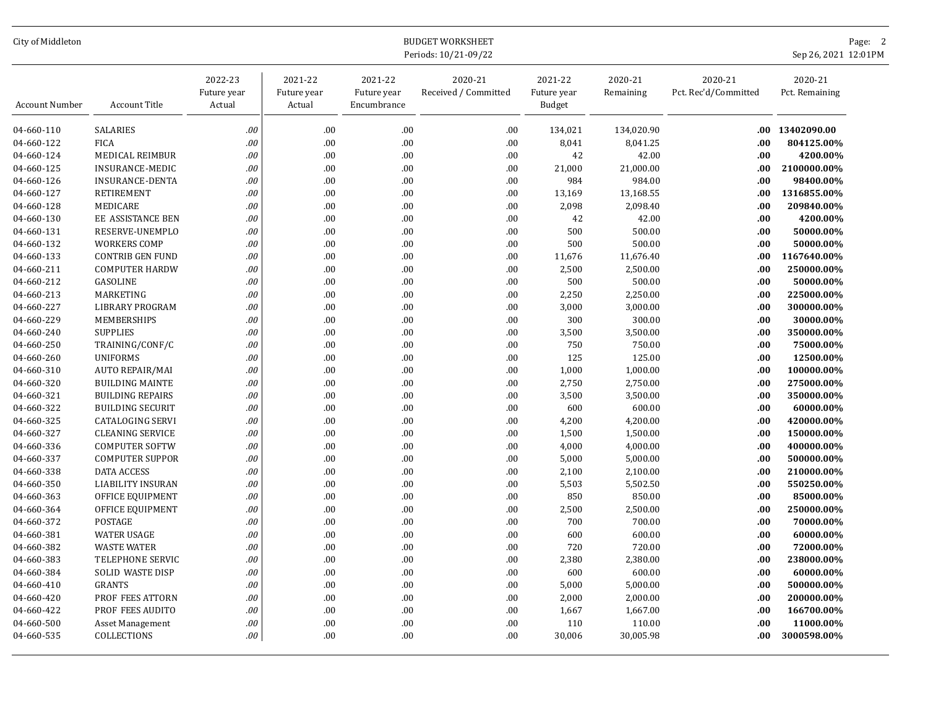| City of Middleton<br><b>BUDGET WORKSHEET</b><br>Periods: 10/21-09/22 |                         |                                  |                                  |                                       |                                 |                                  |                      | Page: 2<br>Sep 26, 2021 12:01PM |                           |
|----------------------------------------------------------------------|-------------------------|----------------------------------|----------------------------------|---------------------------------------|---------------------------------|----------------------------------|----------------------|---------------------------------|---------------------------|
| Account Number                                                       | Account Title           | 2022-23<br>Future year<br>Actual | 2021-22<br>Future year<br>Actual | 2021-22<br>Future year<br>Encumbrance | 2020-21<br>Received / Committed | 2021-22<br>Future year<br>Budget | 2020-21<br>Remaining | 2020-21<br>Pct. Rec'd/Committed | 2020-21<br>Pct. Remaining |
| 04-660-110                                                           | <b>SALARIES</b>         | .00                              | .00                              | .00                                   | .00                             | 134,021                          | 134,020.90           | .00                             | 13402090.00               |
| 04-660-122                                                           | <b>FICA</b>             | .00                              | .00                              | .00                                   | .00                             | 8,041                            | 8,041.25             | .00                             | 804125.00%                |
| 04-660-124                                                           | MEDICAL REIMBUR         | .00                              | .00                              | .00                                   | .00                             | 42                               | 42.00                | .00                             | 4200.00%                  |
| 04-660-125                                                           | <b>INSURANCE-MEDIC</b>  | .00                              | .00.                             | .00                                   | .00                             | 21,000                           | 21,000.00            | .00.                            | 2100000.00%               |
| 04-660-126                                                           | <b>INSURANCE-DENTA</b>  | .00                              | .00                              | .00                                   | .00                             | 984                              | 984.00               | .00.                            | 98400.00%                 |
| 04-660-127                                                           | <b>RETIREMENT</b>       | .00                              | .00                              | .00                                   | .00                             | 13,169                           | 13,168.55            | .00.                            | 1316855.00%               |
| 04-660-128                                                           | MEDICARE                | .00                              | .00                              | .00                                   | .00                             | 2,098                            | 2,098.40             | .00                             | 209840.00%                |
| 04-660-130                                                           | EE ASSISTANCE BEN       | .00                              | .00                              | .00                                   | .00                             | 42                               | 42.00                | .00                             | 4200.00%                  |
| 04-660-131                                                           | RESERVE-UNEMPLO         | .00                              | .00                              | .00                                   | .00                             | 500                              | 500.00               | .00.                            | 50000.00%                 |
| 04-660-132                                                           | <b>WORKERS COMP</b>     | .00                              | .00                              | .00                                   | .00                             | 500                              | 500.00               | .00.                            | 50000.00%                 |
| 04-660-133                                                           | <b>CONTRIB GEN FUND</b> | .00                              | .00                              | .00                                   | .00                             | 11,676                           | 11,676.40            | .00                             | 1167640.00%               |
| 04-660-211                                                           | <b>COMPUTER HARDW</b>   | .00                              | .00                              | .00                                   | .00                             | 2,500                            | 2,500.00             | .00                             | 250000.00%                |
| 04-660-212                                                           | GASOLINE                | .00                              | .00                              | $.00\,$                               | .00                             | 500                              | 500.00               | .00                             | 50000.00%                 |
| 04-660-213                                                           | MARKETING               | .00                              | .00.                             | .00                                   | .00                             | 2,250                            | 2,250.00             | .00                             | 225000.00%                |
| 04-660-227                                                           | <b>LIBRARY PROGRAM</b>  | .00                              | .00                              | .00                                   | .00                             | 3,000                            | 3,000.00             | .00                             | 300000.00%                |
| 04-660-229                                                           | MEMBERSHIPS             | .00                              | .00                              | .00                                   | .00                             | 300                              | 300.00               | .00                             | 30000.00%                 |
| 04-660-240                                                           | <b>SUPPLIES</b>         | .00                              | .00                              | .00                                   | .00                             | 3,500                            | 3,500.00             | .00                             | 350000.00%                |
| 04-660-250                                                           | TRAINING/CONF/C         | .00                              | .00                              | .00                                   | .00                             | 750                              | 750.00               | .00                             | 75000.00%                 |
| 04-660-260                                                           | <b>UNIFORMS</b>         | .00                              | .00.                             | .00                                   | .00                             | 125                              | 125.00               | .00                             | 12500.00%                 |
| 04-660-310                                                           | <b>AUTO REPAIR/MAI</b>  | .00                              | .00                              | .00                                   | .00                             | 1,000                            | 1,000.00             | .00                             | 100000.00%                |
| 04-660-320                                                           | <b>BUILDING MAINTE</b>  | .00                              | .00                              | .00                                   | .00                             | 2,750                            | 2,750.00             | .00                             | 275000.00%                |
| 04-660-321                                                           | <b>BUILDING REPAIRS</b> | .00                              | .00                              | .00                                   | .00                             | 3,500                            | 3,500.00             | .00                             | 350000.00%                |
| 04-660-322                                                           | <b>BUILDING SECURIT</b> | .00                              | .00                              | .00                                   | .00                             | 600                              | 600.00               | .00                             | 60000.00%                 |
| 04-660-325                                                           | <b>CATALOGING SERVI</b> | .00                              | .00                              | .00                                   | .00                             | 4,200                            | 4,200.00             | .00                             | 420000.00%                |
| 04-660-327                                                           | <b>CLEANING SERVICE</b> | .00                              | .00                              | .00                                   | .00                             | 1,500                            | 1,500.00             | .00                             | 150000.00%                |
| 04-660-336                                                           | <b>COMPUTER SOFTW</b>   | .00                              | .00.                             | .00                                   | .00                             | 4,000                            | 4,000.00             | .00                             | 400000.00%                |
| 04-660-337                                                           | <b>COMPUTER SUPPOR</b>  | .00                              | .00                              | .00                                   | .00                             | 5,000                            | 5,000.00             | .00                             | 500000.00%                |
| 04-660-338                                                           | <b>DATA ACCESS</b>      | .00                              | .00                              | .00                                   | .00                             | 2,100                            | 2,100.00             | .00                             | 210000.00%                |
| 04-660-350                                                           | LIABILITY INSURAN       | .00                              | .00.                             | .00                                   | .00                             | 5,503                            | 5,502.50             | .00                             | 550250.00%                |
| 04-660-363                                                           | OFFICE EQUIPMENT        | .00                              | .00                              | .00                                   | .00                             | 850                              | 850.00               | .00                             | 85000.00%                 |
| 04-660-364                                                           | OFFICE EQUIPMENT        | .00                              | .00                              | .00                                   | .00.                            | 2,500                            | 2,500.00             | .00                             | 250000.00%                |
| 04-660-372                                                           | POSTAGE                 | .00                              | .00                              | .00                                   | .00                             | 700                              | 700.00               | .00                             | 70000.00%                 |
| 04-660-381                                                           | <b>WATER USAGE</b>      | .00                              | .00                              | .00                                   | .00                             | 600                              | 600.00               | .00                             | 60000.00%                 |
| 04-660-382                                                           | <b>WASTE WATER</b>      | .00                              | .00.                             | .00                                   | .00                             | 720                              | 720.00               | .00                             | 72000.00%                 |
| 04-660-383                                                           | TELEPHONE SERVIC        | .00                              | .00                              | $.00\,$                               | .00                             | 2,380                            | 2,380.00             | .00                             | 238000.00%                |
| 04-660-384                                                           | <b>SOLID WASTE DISP</b> | .00                              | .00                              | $.00\,$                               | .00.                            | 600                              | 600.00               | .00                             | 60000.00%                 |
| 04-660-410                                                           | <b>GRANTS</b>           | .00                              | .00                              | .00                                   | .00                             | 5,000                            | 5,000.00             | .00                             | 500000.00%                |
| 04-660-420                                                           | PROF FEES ATTORN        | .00                              | .00                              | .00                                   | .00                             | 2,000                            | 2,000.00             | .00                             | 200000.00%                |
| 04-660-422                                                           | PROF FEES AUDITO        | .00                              | .00.                             | .00                                   | .00                             | 1,667                            | 1,667.00             | .00                             | 166700.00%                |
| 04-660-500                                                           | Asset Management        | .00                              | .00                              | .00                                   | .00                             | 110                              | 110.00               | .00                             | 11000.00%                 |
| 04-660-535                                                           | <b>COLLECTIONS</b>      | .00                              | .00                              | .00                                   | .00.                            | 30,006                           | 30,005.98            | .00                             | 3000598.00%               |
|                                                                      |                         |                                  |                                  |                                       |                                 |                                  |                      |                                 |                           |